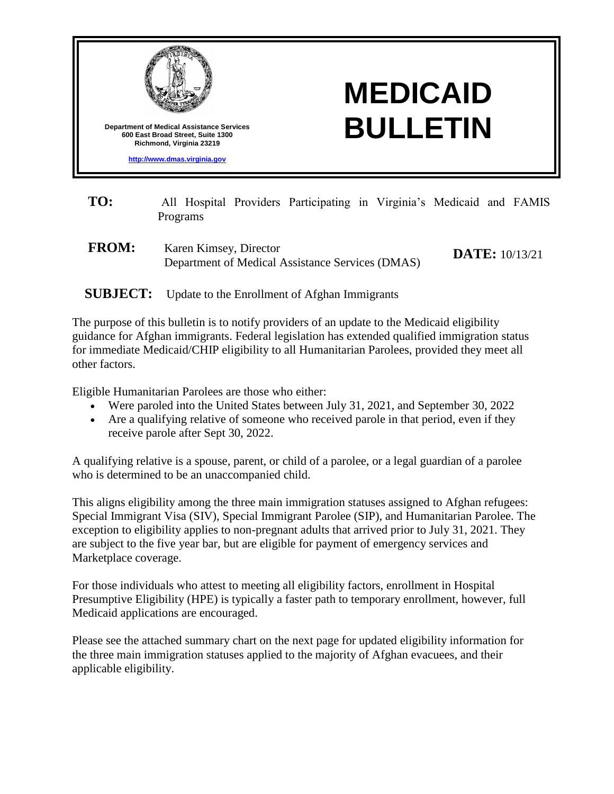

- **TO:** All Hospital Providers Participating in Virginia's Medicaid and FAMIS Programs
- **FROM:** Karen Kimsey, Director Department of Medical Assistance Services (DMAS) **DATE:** 10/13/21

## **SUBJECT:** Update to the Enrollment of Afghan Immigrants

The purpose of this bulletin is to notify providers of an update to the Medicaid eligibility guidance for Afghan immigrants. Federal legislation has extended qualified immigration status for immediate Medicaid/CHIP eligibility to all Humanitarian Parolees, provided they meet all other factors.

Eligible Humanitarian Parolees are those who either:

- Were paroled into the United States between July 31, 2021, and September 30, 2022
- Are a qualifying relative of someone who received parole in that period, even if they receive parole after Sept 30, 2022.

A qualifying relative is a spouse, parent, or child of a parolee, or a legal guardian of a parolee who is determined to be an unaccompanied child.

This aligns eligibility among the three main immigration statuses assigned to Afghan refugees: Special Immigrant Visa (SIV), Special Immigrant Parolee (SIP), and Humanitarian Parolee. The exception to eligibility applies to non-pregnant adults that arrived prior to July 31, 2021. They are subject to the five year bar, but are eligible for payment of emergency services and Marketplace coverage.

For those individuals who attest to meeting all eligibility factors, enrollment in Hospital Presumptive Eligibility (HPE) is typically a faster path to temporary enrollment, however, full Medicaid applications are encouraged.

Please see the attached summary chart on the next page for updated eligibility information for the three main immigration statuses applied to the majority of Afghan evacuees, and their applicable eligibility.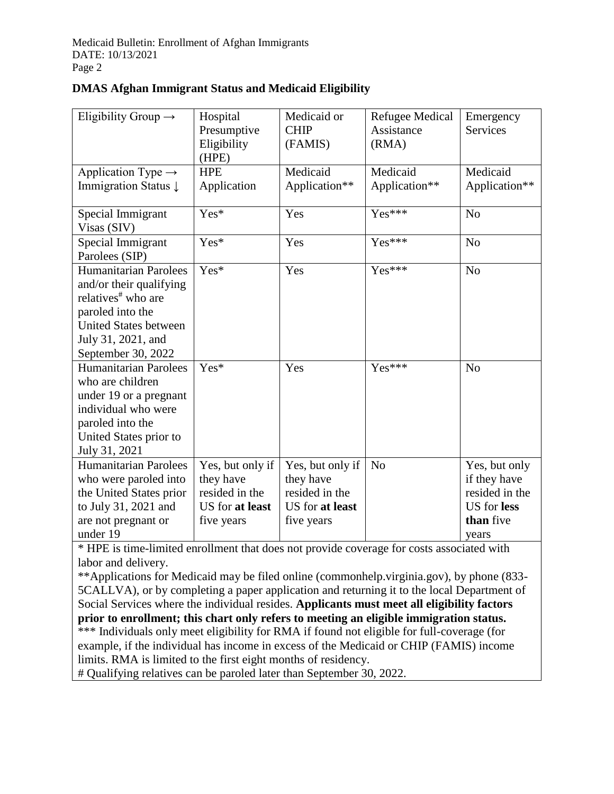| Eligibility Group $\rightarrow$                                                                                                                                                           | Hospital<br>Presumptive<br>Eligibility<br>(HPE)                                  | Medicaid or<br><b>CHIP</b><br>(FAMIS)                                            | <b>Refugee Medical</b><br>Assistance<br>(RMA) | Emergency<br><b>Services</b>                                                                |
|-------------------------------------------------------------------------------------------------------------------------------------------------------------------------------------------|----------------------------------------------------------------------------------|----------------------------------------------------------------------------------|-----------------------------------------------|---------------------------------------------------------------------------------------------|
| Application Type $\rightarrow$<br>Immigration Status $\downarrow$                                                                                                                         | <b>HPE</b><br>Application                                                        | Medicaid<br>Application**                                                        | Medicaid<br>Application**                     | Medicaid<br>Application**                                                                   |
| Special Immigrant<br>Visas (SIV)                                                                                                                                                          | Yes*                                                                             | Yes                                                                              | Yes***                                        | N <sub>o</sub>                                                                              |
| Special Immigrant<br>Parolees (SIP)                                                                                                                                                       | Yes*                                                                             | Yes                                                                              | Yes***                                        | N <sub>o</sub>                                                                              |
| <b>Humanitarian Parolees</b><br>and/or their qualifying<br>relatives <sup>#</sup> who are<br>paroled into the<br><b>United States between</b><br>July 31, 2021, and<br>September 30, 2022 | Yes*                                                                             | Yes                                                                              | Yes***                                        | N <sub>o</sub>                                                                              |
| <b>Humanitarian Parolees</b><br>who are children<br>under 19 or a pregnant<br>individual who were<br>paroled into the<br>United States prior to<br>July 31, 2021                          | Yes*                                                                             | Yes                                                                              | Yes***                                        | N <sub>o</sub>                                                                              |
| <b>Humanitarian Parolees</b><br>who were paroled into<br>the United States prior<br>to July 31, 2021 and<br>are not pregnant or<br>under 19                                               | Yes, but only if<br>they have<br>resided in the<br>US for at least<br>five years | Yes, but only if<br>they have<br>resided in the<br>US for at least<br>five years | N <sub>o</sub>                                | Yes, but only<br>if they have<br>resided in the<br><b>US</b> for less<br>than five<br>years |

## **DMAS Afghan Immigrant Status and Medicaid Eligibility**

\* HPE is time-limited enrollment that does not provide coverage for costs associated with labor and delivery.

\*\*Applications for Medicaid may be filed online (commonhelp.virginia.gov), by phone (833- 5CALLVA), or by completing a paper application and returning it to the local Department of Social Services where the individual resides. **Applicants must meet all eligibility factors prior to enrollment; this chart only refers to meeting an eligible immigration status.** \*\*\* Individuals only meet eligibility for RMA if found not eligible for full-coverage (for example, if the individual has income in excess of the Medicaid or CHIP (FAMIS) income limits. RMA is limited to the first eight months of residency.

# Qualifying relatives can be paroled later than September 30, 2022.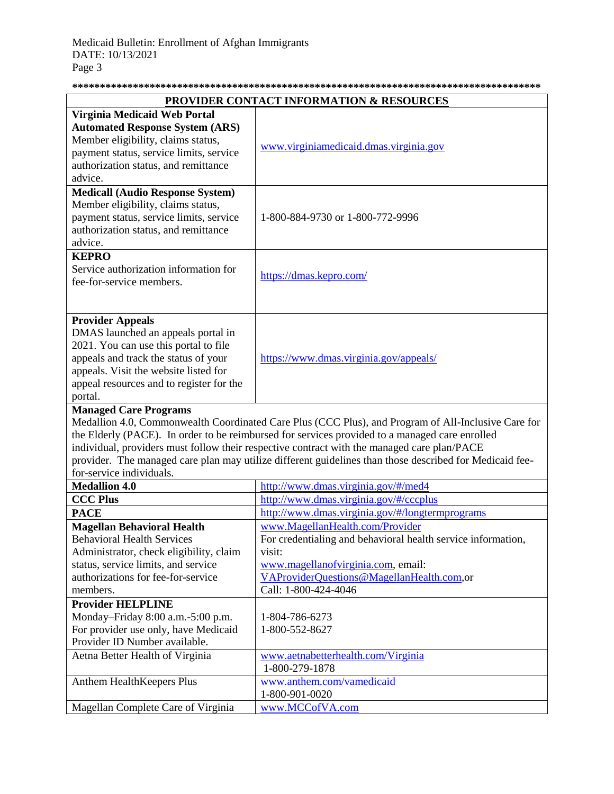| <b>PROVIDER CONTACT INFORMATION &amp; RESOURCES</b>                                                 |                                                                                                         |  |  |  |
|-----------------------------------------------------------------------------------------------------|---------------------------------------------------------------------------------------------------------|--|--|--|
| Virginia Medicaid Web Portal                                                                        |                                                                                                         |  |  |  |
| <b>Automated Response System (ARS)</b>                                                              |                                                                                                         |  |  |  |
| Member eligibility, claims status,                                                                  | www.virginiamedicaid.dmas.virginia.gov                                                                  |  |  |  |
| payment status, service limits, service                                                             |                                                                                                         |  |  |  |
| authorization status, and remittance                                                                |                                                                                                         |  |  |  |
| advice.                                                                                             |                                                                                                         |  |  |  |
| <b>Medicall (Audio Response System)</b>                                                             |                                                                                                         |  |  |  |
| Member eligibility, claims status,                                                                  | 1-800-884-9730 or 1-800-772-9996                                                                        |  |  |  |
| payment status, service limits, service                                                             |                                                                                                         |  |  |  |
| authorization status, and remittance                                                                |                                                                                                         |  |  |  |
| advice.                                                                                             |                                                                                                         |  |  |  |
| <b>KEPRO</b>                                                                                        |                                                                                                         |  |  |  |
| Service authorization information for                                                               | https://dmas.kepro.com/                                                                                 |  |  |  |
| fee-for-service members.                                                                            |                                                                                                         |  |  |  |
|                                                                                                     |                                                                                                         |  |  |  |
|                                                                                                     |                                                                                                         |  |  |  |
| <b>Provider Appeals</b><br>DMAS launched an appeals portal in                                       |                                                                                                         |  |  |  |
| 2021. You can use this portal to file                                                               | https://www.dmas.virginia.gov/appeals/                                                                  |  |  |  |
| appeals and track the status of your                                                                |                                                                                                         |  |  |  |
| appeals. Visit the website listed for                                                               |                                                                                                         |  |  |  |
| appeal resources and to register for the                                                            |                                                                                                         |  |  |  |
| portal.                                                                                             |                                                                                                         |  |  |  |
| <b>Managed Care Programs</b>                                                                        |                                                                                                         |  |  |  |
| Medallion 4.0, Commonwealth Coordinated Care Plus (CCC Plus), and Program of All-Inclusive Care for |                                                                                                         |  |  |  |
| the Elderly (PACE). In order to be reimbursed for services provided to a managed care enrolled      |                                                                                                         |  |  |  |
|                                                                                                     | individual, providers must follow their respective contract with the managed care plan/PACE             |  |  |  |
|                                                                                                     | provider. The managed care plan may utilize different guidelines than those described for Medicaid fee- |  |  |  |
| for-service individuals.                                                                            |                                                                                                         |  |  |  |
| <b>Medallion 4.0</b>                                                                                | http://www.dmas.virginia.gov/#/med4                                                                     |  |  |  |
| <b>CCC Plus</b>                                                                                     | http://www.dmas.virginia.gov/#/cccplus                                                                  |  |  |  |
| <b>PACE</b>                                                                                         | http://www.dmas.virginia.gov/#/longtermprograms                                                         |  |  |  |
| <b>Magellan Behavioral Health</b>                                                                   | www.MagellanHealth.com/Provider                                                                         |  |  |  |
| <b>Behavioral Health Services</b>                                                                   | For credentialing and behavioral health service information,                                            |  |  |  |
| Administrator, check eligibility, claim                                                             | visit:                                                                                                  |  |  |  |
| status, service limits, and service                                                                 | www.magellanofvirginia.com, email:                                                                      |  |  |  |
| authorizations for fee-for-service                                                                  | VAProviderQuestions@MagellanHealth.com,or                                                               |  |  |  |
| members.                                                                                            | Call: 1-800-424-4046                                                                                    |  |  |  |
| <b>Provider HELPLINE</b>                                                                            |                                                                                                         |  |  |  |
| Monday-Friday 8:00 a.m.-5:00 p.m.                                                                   | 1-804-786-6273                                                                                          |  |  |  |
| For provider use only, have Medicaid                                                                | 1-800-552-8627                                                                                          |  |  |  |
| Provider ID Number available.                                                                       |                                                                                                         |  |  |  |
| Aetna Better Health of Virginia                                                                     | www.aetnabetterhealth.com/Virginia                                                                      |  |  |  |
|                                                                                                     | 1-800-279-1878                                                                                          |  |  |  |
| Anthem HealthKeepers Plus                                                                           | www.anthem.com/vamedicaid                                                                               |  |  |  |
|                                                                                                     | 1-800-901-0020                                                                                          |  |  |  |
| Magellan Complete Care of Virginia                                                                  | www.MCCofVA.com                                                                                         |  |  |  |